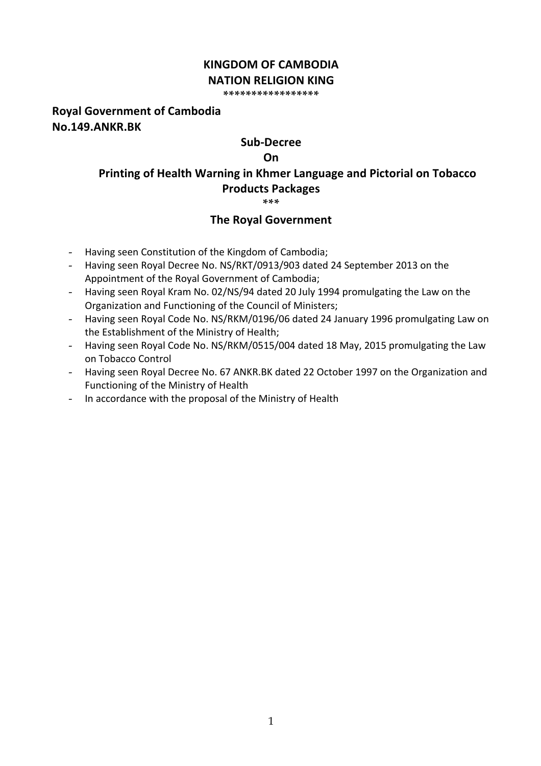## **KINGDOM OF CAMBODIA NATION RELIGION KING**

**\*\*\*\*\*\*\*\*\*\*\*\*\*\*\*\*\***

## **Royal Government of Cambodia No.149.ANKR.BK**

## **Sub-Decree**

### **On**

# **Printing of Health Warning in Khmer Language and Pictorial on Tobacco Products Packages**

**\*\*\***

## **The Royal Government**

- Having seen Constitution of the Kingdom of Cambodia;
- Having seen Royal Decree No. NS/RKT/0913/903 dated 24 September 2013 on the Appointment of the Royal Government of Cambodia;
- Having seen Royal Kram No. 02/NS/94 dated 20 July 1994 promulgating the Law on the Organization and Functioning of the Council of Ministers;
- Having seen Royal Code No. NS/RKM/0196/06 dated 24 January 1996 promulgating Law on the Establishment of the Ministry of Health;
- Having seen Royal Code No. NS/RKM/0515/004 dated 18 May, 2015 promulgating the Law on Tobacco Control
- Having seen Royal Decree No. 67 ANKR.BK dated 22 October 1997 on the Organization and Functioning of the Ministry of Health
- In accordance with the proposal of the Ministry of Health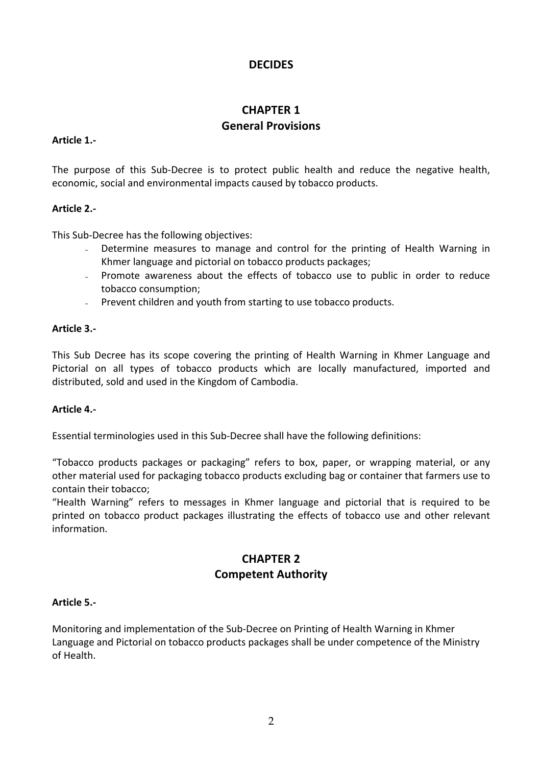## **DECIDES**

## **CHAPTER 1 General Provisions**

### **Article 1.-**

The purpose of this Sub-Decree is to protect public health and reduce the negative health, economic, social and environmental impacts caused by tobacco products.

### **Article 2.-**

This Sub-Decree has the following objectives:

- Determine measures to manage and control for the printing of Health Warning in Khmer language and pictorial on tobacco products packages;
- Promote awareness about the effects of tobacco use to public in order to reduce tobacco consumption;
- − Prevent children and youth from starting to use tobacco products.

### **Article 3.-**

This Sub Decree has its scope covering the printing of Health Warning in Khmer Language and Pictorial on all types of tobacco products which are locally manufactured, imported and distributed, sold and used in the Kingdom of Cambodia.

### **Article 4.-**

Essential terminologies used in this Sub-Decree shall have the following definitions:

"Tobacco products packages or packaging" refers to box, paper, or wrapping material, or any other material used for packaging tobacco products excluding bag or container that farmers use to contain their tobacco; 

"Health Warning" refers to messages in Khmer language and pictorial that is required to be printed on tobacco product packages illustrating the effects of tobacco use and other relevant information.

## **CHAPTER 2 Competent Authority**

### **Article 5.-**

Monitoring and implementation of the Sub-Decree on Printing of Health Warning in Khmer Language and Pictorial on tobacco products packages shall be under competence of the Ministry of Health.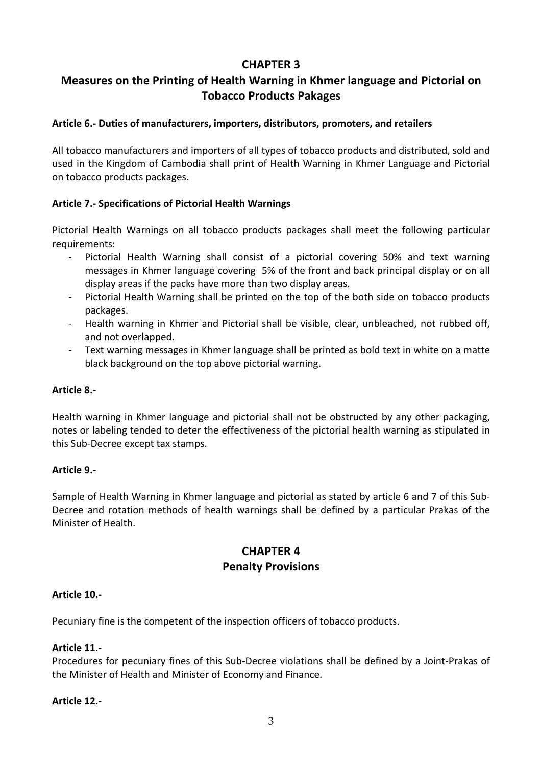## **CHAPTER 3**

## **Measures on the Printing of Health Warning in Khmer language and Pictorial on Tobacco Products Pakages**

## **Article 6.- Duties of manufacturers, importers, distributors, promoters, and retailers**

All tobacco manufacturers and importers of all types of tobacco products and distributed, sold and used in the Kingdom of Cambodia shall print of Health Warning in Khmer Language and Pictorial on tobacco products packages.

## **Article 7.- Specifications of Pictorial Health Warnings**

Pictorial Health Warnings on all tobacco products packages shall meet the following particular requirements:

- Pictorial Health Warning shall consist of a pictorial covering 50% and text warning messages in Khmer language covering 5% of the front and back principal display or on all display areas if the packs have more than two display areas.
- Pictorial Health Warning shall be printed on the top of the both side on tobacco products packages.
- Health warning in Khmer and Pictorial shall be visible, clear, unbleached, not rubbed off, and not overlapped.
- Text warning messages in Khmer language shall be printed as bold text in white on a matte black background on the top above pictorial warning.

### **Article 8.-**

Health warning in Khmer language and pictorial shall not be obstructed by any other packaging, notes or labeling tended to deter the effectiveness of the pictorial health warning as stipulated in this Sub-Decree except tax stamps.

### **Article 9.-**

Sample of Health Warning in Khmer language and pictorial as stated by article 6 and 7 of this Sub-Decree and rotation methods of health warnings shall be defined by a particular Prakas of the Minister of Health.

## **CHAPTER 4 Penalty Provisions**

### **Article 10.-**

Pecuniary fine is the competent of the inspection officers of tobacco products.

### **Article 11.-**

Procedures for pecuniary fines of this Sub-Decree violations shall be defined by a Joint-Prakas of the Minister of Health and Minister of Economy and Finance.

### **Article 12.-**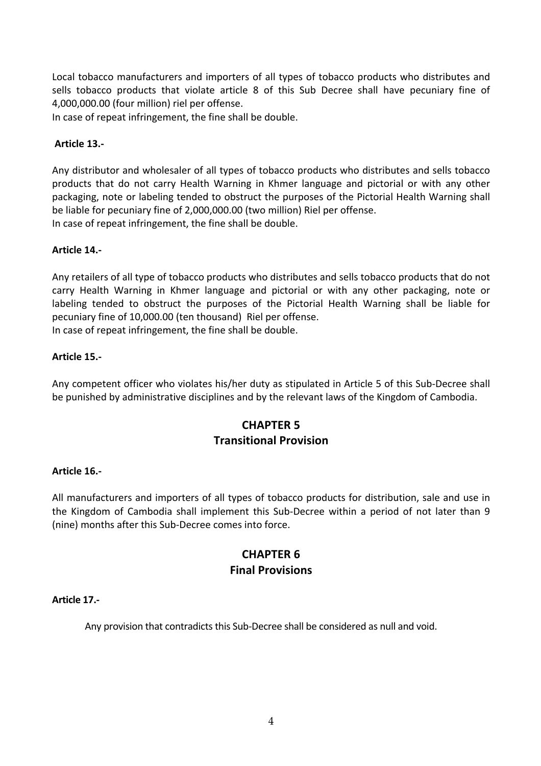Local tobacco manufacturers and importers of all types of tobacco products who distributes and sells tobacco products that violate article 8 of this Sub Decree shall have pecuniary fine of 4,000,000.00 (four million) riel per offense.

In case of repeat infringement, the fine shall be double.

### **Article 13.-**

Any distributor and wholesaler of all types of tobacco products who distributes and sells tobacco products that do not carry Health Warning in Khmer language and pictorial or with any other packaging, note or labeling tended to obstruct the purposes of the Pictorial Health Warning shall be liable for pecuniary fine of 2,000,000.00 (two million) Riel per offense. In case of repeat infringement, the fine shall be double.

### **Article 14.-**

Any retailers of all type of tobacco products who distributes and sells tobacco products that do not carry Health Warning in Khmer language and pictorial or with any other packaging, note or labeling tended to obstruct the purposes of the Pictorial Health Warning shall be liable for pecuniary fine of 10,000.00 (ten thousand) Riel per offense. In case of repeat infringement, the fine shall be double.

### **Article 15.-**

Any competent officer who violates his/her duty as stipulated in Article 5 of this Sub-Decree shall be punished by administrative disciplines and by the relevant laws of the Kingdom of Cambodia.

## **CHAPTER 5 Transitional Provision**

### **Article 16.-**

All manufacturers and importers of all types of tobacco products for distribution, sale and use in the Kingdom of Cambodia shall implement this Sub-Decree within a period of not later than 9 (nine) months after this Sub-Decree comes into force.

## **CHAPTER 6 Final Provisions**

### **Article 17.-**

Any provision that contradicts this Sub-Decree shall be considered as null and void.